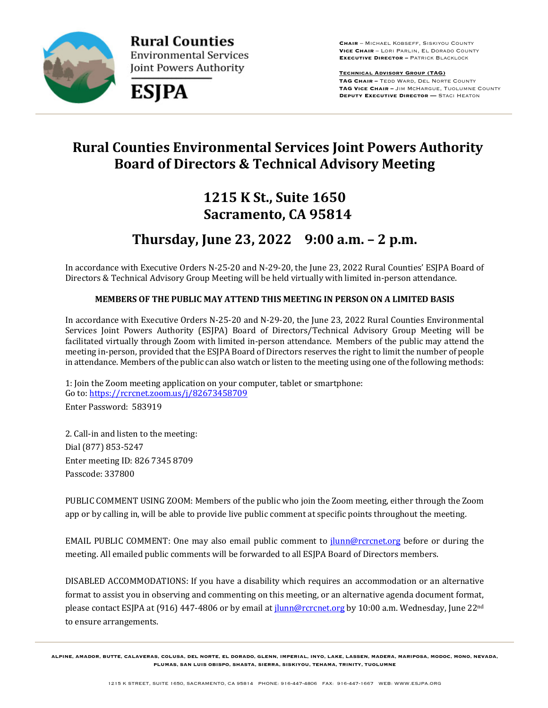

**Rural Counties Environmental Services** Joint Powers Authority



**Chair** – Michael Kobseff, Siskiyou County **Vice Chair** – Lori Parlin, El Dorado County **Executive Director –** Patrick Blacklock

**Technical Advisory Group (TAG) TAG Chair –** Tedd Ward, Del Norte County **TAG Vice Chair –** Jim McHargue, Tuolumne County **Deputy Executive Director —** Staci Heaton

# **Rural Counties Environmental Services Joint Powers Authority Board of Directors & Technical Advisory Meeting**

# **1215 K St., Suite 1650 Sacramento, CA 95814**

# **Thursday, June 23, 2022 9:00 a.m. – 2 p.m.**

In accordance with Executive Orders N-25-20 and N-29-20, the June 23, 2022 Rural Counties' ESJPA Board of Directors & Technical Advisory Group Meeting will be held virtually with limited in-person attendance.

#### **MEMBERS OF THE PUBLIC MAY ATTEND THIS MEETING IN PERSON ON A LIMITED BASIS**

In accordance with Executive Orders N-25-20 and N-29-20, the June 23, 2022 Rural Counties Environmental Services Joint Powers Authority (ESJPA) Board of Directors/Technical Advisory Group Meeting will be facilitated virtually through Zoom with limited in-person attendance. Members of the public may attend the meeting in-person, provided that the ESJPA Board of Directors reserves the right to limit the number of people in attendance. Members of the public can also watch or listen to the meeting using one of the following methods:

1: Join the Zoom meeting application on your computer, tablet or smartphone: Go to: https://rcrcnet.zoom.us/j/82673458709

Enter Password: 583919

2. Call-in and listen to the meeting: Dial (877) 853-5247 Enter meeting ID: 826 7345 8709 Passcode: 337800

PUBLIC COMMENT USING ZOOM: Members of the public who join the Zoom meeting, either through the Zoom app or by calling in, will be able to provide live public comment at specific points throughout the meeting.

EMAIL PUBLIC COMMENT: One may also email public comment to jlunn@rcrcnet.org before or during the meeting. All emailed public comments will be forwarded to all ESJPA Board of Directors members.

DISABLED ACCOMMODATIONS: If you have a disability which requires an accommodation or an alternative format to assist you in observing and commenting on this meeting, or an alternative agenda document format, please contact ESJPA at (916) 447-4806 or by email at *jlunn@rcrcnet.org* by 10:00 a.m. Wednesday, June 22<sup>nd</sup> to ensure arrangements.

**ALPINE, AMADOR, BUTTE, CALAVERAS, COLUSA, DEL NORTE, EL DORADO, GLENN, IMPERIAL, INYO, LAKE, LASSEN, MADERA, MARIPOSA, MODOC, MONO, NEVADA, PLUMAS, SAN LUIS OBISPO, SHASTA, SIERRA, SISKIYOU, TEHAMA, TRINITY, TUOLUMNE**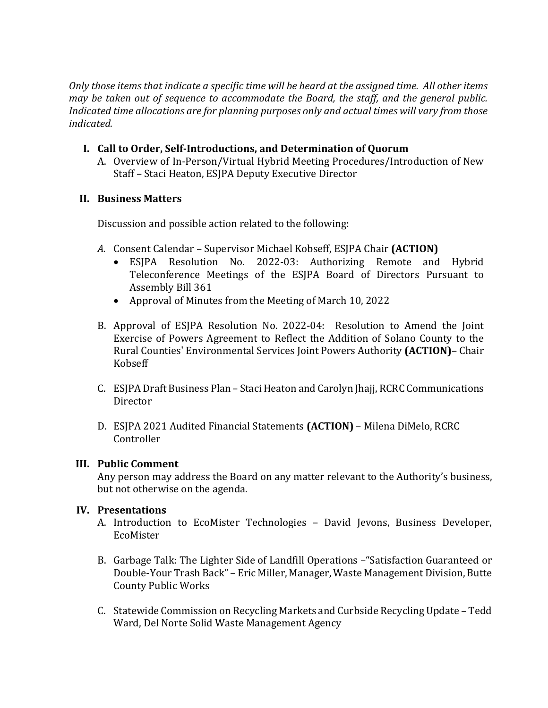*Only* those items that indicate a specific time will be heard at the assigned time. All other items *may* be taken out of sequence to accommodate the Board, the staff, and the general public. *Indicated time allocations are for planning purposes only and actual times will vary from those indicated.*

#### **I.** Call to Order, Self-Introductions, and Determination of Quorum

A. Overview of In-Person/Virtual Hybrid Meeting Procedures/Introduction of New Staff - Staci Heaton, ESJPA Deputy Executive Director

#### **II. Business Matters**

Discussion and possible action related to the following:

- A. Consent Calendar Supervisor Michael Kobseff, ESJPA Chair (ACTION)
	- ESJPA Resolution No. 2022-03: Authorizing Remote and Hybrid Teleconference Meetings of the ESJPA Board of Directors Pursuant to Assembly Bill 361
	- Approval of Minutes from the Meeting of March 10, 2022
- B. Approval of ESJPA Resolution No. 2022-04: Resolution to Amend the Joint Exercise of Powers Agreement to Reflect the Addition of Solano County to the Rural Counties' Environmental Services Joint Powers Authority (ACTION)- Chair Kobseff
- C. ESJPA Draft Business Plan Staci Heaton and Carolyn Jhajj, RCRC Communications Director
- D. ESJPA 2021 Audited Financial Statements (ACTION) Milena DiMelo, RCRC Controller

#### **III. Public Comment**

Any person may address the Board on any matter relevant to the Authority's business, but not otherwise on the agenda.

#### **IV. Presentations**

- A. Introduction to EcoMister Technologies David Jevons, Business Developer, EcoMister
- B. Garbage Talk: The Lighter Side of Landfill Operations "Satisfaction Guaranteed or Double-Your Trash Back" – Eric Miller, Manager, Waste Management Division, Butte County Public Works
- C. Statewide Commission on Recycling Markets and Curbside Recycling Update Tedd Ward, Del Norte Solid Waste Management Agency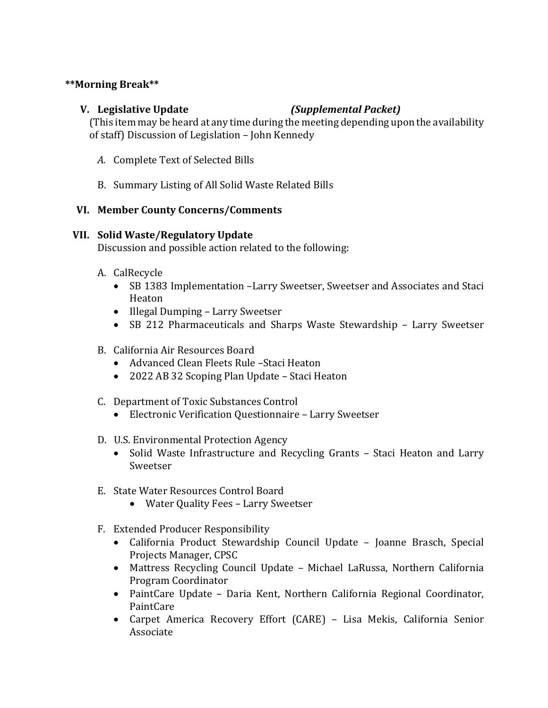#### **\*\*Morning Break\*\***

### **V. Legislative Update** *(Supplemental Packet)*

(This item may be heard at any time during the meeting depending upon the availability of staff) Discussion of Legislation - John Kennedy

- A. Complete Text of Selected Bills
- B. Summary Listing of All Solid Waste Related Bills

#### **VI. Member County Concerns/Comments**

#### **VII.** Solid Waste/Regulatory Update

Discussion and possible action related to the following:

- A. CalRecycle
	- SB 1383 Implementation -Larry Sweetser, Sweetser and Associates and Staci Heaton
	- Illegal Dumping Larry Sweetser
	- SB 212 Pharmaceuticals and Sharps Waste Stewardship Larry Sweetser
- B. California Air Resources Board
	- Advanced Clean Fleets Rule –Staci Heaton
	- 2022 AB 32 Scoping Plan Update Staci Heaton
- C. Department of Toxic Substances Control
	- Electronic Verification Questionnaire Larry Sweetser
- D. U.S. Environmental Protection Agency
	- Solid Waste Infrastructure and Recycling Grants Staci Heaton and Larry Sweetser
- E. State Water Resources Control Board
	- Water Quality Fees Larry Sweetser
- F. Extended Producer Responsibility
	- California Product Stewardship Council Update Joanne Brasch, Special Projects Manager, CPSC
	- Mattress Recycling Council Update Michael LaRussa, Northern California Program Coordinator
	- PaintCare Update Daria Kent, Northern California Regional Coordinator, PaintCare
	- Carpet America Recovery Effort (CARE) Lisa Mekis, California Senior Associate